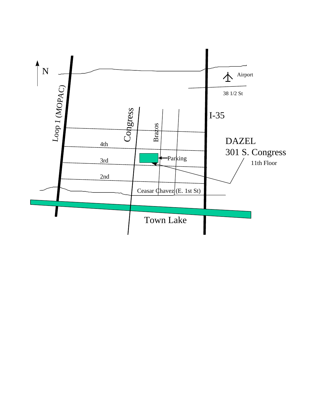